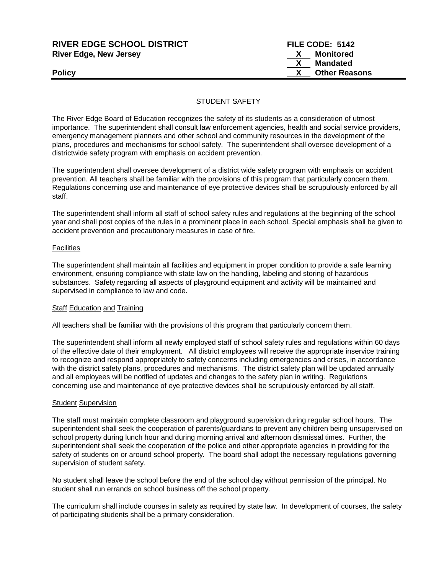| <b>RIVER EDGE SCHOOL DISTRICT</b> | FILE CODE: 5142      |
|-----------------------------------|----------------------|
| <b>River Edge, New Jersey</b>     | Monitored<br>X       |
|                                   | Mandated             |
| <b>Policy</b>                     | <b>Other Reasons</b> |
|                                   |                      |

## STUDENT SAFETY

The River Edge Board of Education recognizes the safety of its students as a consideration of utmost importance. The superintendent shall consult law enforcement agencies, health and social service providers, emergency management planners and other school and community resources in the development of the plans, procedures and mechanisms for school safety. The superintendent shall oversee development of a districtwide safety program with emphasis on accident prevention.

The superintendent shall oversee development of a district wide safety program with emphasis on accident prevention. All teachers shall be familiar with the provisions of this program that particularly concern them. Regulations concerning use and maintenance of eye protective devices shall be scrupulously enforced by all staff.

The superintendent shall inform all staff of school safety rules and regulations at the beginning of the school year and shall post copies of the rules in a prominent place in each school. Special emphasis shall be given to accident prevention and precautionary measures in case of fire.

#### **Facilities**

The superintendent shall maintain all facilities and equipment in proper condition to provide a safe learning environment, ensuring compliance with state law on the handling, labeling and storing of hazardous substances. Safety regarding all aspects of playground equipment and activity will be maintained and supervised in compliance to law and code.

#### Staff Education and Training

All teachers shall be familiar with the provisions of this program that particularly concern them.

The superintendent shall inform all newly employed staff of school safety rules and regulations within 60 days of the effective date of their employment. All district employees will receive the appropriate inservice training to recognize and respond appropriately to safety concerns including emergencies and crises, in accordance with the district safety plans, procedures and mechanisms. The district safety plan will be updated annually and all employees will be notified of updates and changes to the safety plan in writing. Regulations concerning use and maintenance of eye protective devices shall be scrupulously enforced by all staff.

#### **Student Supervision**

The staff must maintain complete classroom and playground supervision during regular school hours. The superintendent shall seek the cooperation of parents/guardians to prevent any children being unsupervised on school property during lunch hour and during morning arrival and afternoon dismissal times. Further, the superintendent shall seek the cooperation of the police and other appropriate agencies in providing for the safety of students on or around school property. The board shall adopt the necessary regulations governing supervision of student safety.

No student shall leave the school before the end of the school day without permission of the principal. No student shall run errands on school business off the school property.

The curriculum shall include courses in safety as required by state law. In development of courses, the safety of participating students shall be a primary consideration.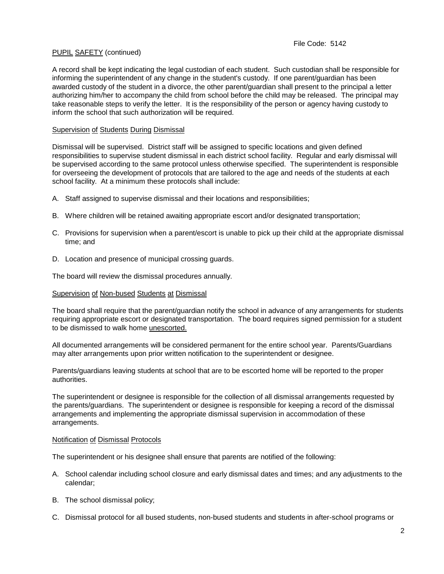A record shall be kept indicating the legal custodian of each student. Such custodian shall be responsible for informing the superintendent of any change in the student's custody. If one parent/guardian has been awarded custody of the student in a divorce, the other parent/guardian shall present to the principal a letter authorizing him/her to accompany the child from school before the child may be released. The principal may take reasonable steps to verify the letter. It is the responsibility of the person or agency having custody to inform the school that such authorization will be required.

## Supervision of Students During Dismissal

Dismissal will be supervised. District staff will be assigned to specific locations and given defined responsibilities to supervise student dismissal in each district school facility. Regular and early dismissal will be supervised according to the same protocol unless otherwise specified. The superintendent is responsible for overseeing the development of protocols that are tailored to the age and needs of the students at each school facility. At a minimum these protocols shall include:

- A. Staff assigned to supervise dismissal and their locations and responsibilities;
- B. Where children will be retained awaiting appropriate escort and/or designated transportation;
- C. Provisions for supervision when a parent/escort is unable to pick up their child at the appropriate dismissal time; and
- D. Location and presence of municipal crossing guards.

The board will review the dismissal procedures annually.

#### Supervision of Non-bused Students at Dismissal

The board shall require that the parent/guardian notify the school in advance of any arrangements for students requiring appropriate escort or designated transportation. The board requires signed permission for a student to be dismissed to walk home unescorted.

All documented arrangements will be considered permanent for the entire school year. Parents/Guardians may alter arrangements upon prior written notification to the superintendent or designee.

Parents/guardians leaving students at school that are to be escorted home will be reported to the proper authorities.

The superintendent or designee is responsible for the collection of all dismissal arrangements requested by the parents/guardians. The superintendent or designee is responsible for keeping a record of the dismissal arrangements and implementing the appropriate dismissal supervision in accommodation of these arrangements.

#### Notification of Dismissal Protocols

The superintendent or his designee shall ensure that parents are notified of the following:

- A. School calendar including school closure and early dismissal dates and times; and any adjustments to the calendar;
- B. The school dismissal policy;
- C. Dismissal protocol for all bused students, non-bused students and students in after-school programs or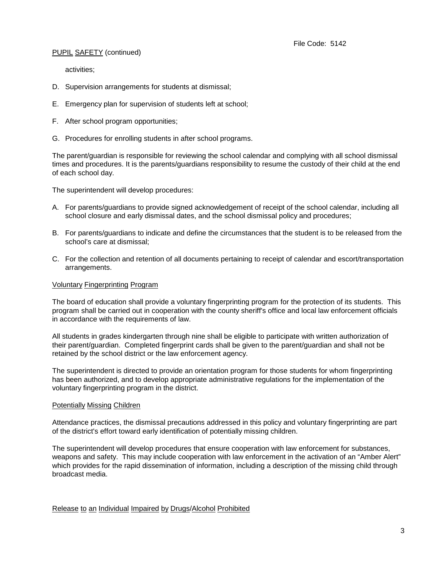activities;

- D. Supervision arrangements for students at dismissal;
- E. Emergency plan for supervision of students left at school;
- F. After school program opportunities;
- G. Procedures for enrolling students in after school programs.

The parent/guardian is responsible for reviewing the school calendar and complying with all school dismissal times and procedures. It is the parents/guardians responsibility to resume the custody of their child at the end of each school day.

The superintendent will develop procedures:

- A. For parents/guardians to provide signed acknowledgement of receipt of the school calendar, including all school closure and early dismissal dates, and the school dismissal policy and procedures;
- B. For parents/guardians to indicate and define the circumstances that the student is to be released from the school's care at dismissal;
- C. For the collection and retention of all documents pertaining to receipt of calendar and escort/transportation arrangements.

#### Voluntary Fingerprinting Program

The board of education shall provide a voluntary fingerprinting program for the protection of its students. This program shall be carried out in cooperation with the county sheriff's office and local law enforcement officials in accordance with the requirements of law.

All students in grades kindergarten through nine shall be eligible to participate with written authorization of their parent/guardian. Completed fingerprint cards shall be given to the parent/guardian and shall not be retained by the school district or the law enforcement agency.

The superintendent is directed to provide an orientation program for those students for whom fingerprinting has been authorized, and to develop appropriate administrative regulations for the implementation of the voluntary fingerprinting program in the district.

#### Potentially Missing Children

Attendance practices, the dismissal precautions addressed in this policy and voluntary fingerprinting are part of the district's effort toward early identification of potentially missing children.

The superintendent will develop procedures that ensure cooperation with law enforcement for substances, weapons and safety. This may include cooperation with law enforcement in the activation of an "Amber Alert" which provides for the rapid dissemination of information, including a description of the missing child through broadcast media.

Release to an Individual Impaired by Drugs/Alcohol Prohibited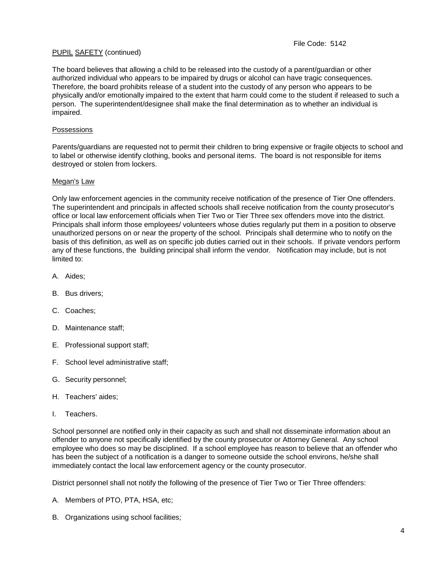The board believes that allowing a child to be released into the custody of a parent/guardian or other authorized individual who appears to be impaired by drugs or alcohol can have tragic consequences. Therefore, the board prohibits release of a student into the custody of any person who appears to be physically and/or emotionally impaired to the extent that harm could come to the student if released to such a person. The superintendent/designee shall make the final determination as to whether an individual is impaired.

### Possessions

Parents/guardians are requested not to permit their children to bring expensive or fragile objects to school and to label or otherwise identify clothing, books and personal items. The board is not responsible for items destroyed or stolen from lockers.

#### Megan's Law

Only law enforcement agencies in the community receive notification of the presence of Tier One offenders. The superintendent and principals in affected schools shall receive notification from the county prosecutor's office or local law enforcement officials when Tier Two or Tier Three sex offenders move into the district. Principals shall inform those employees/ volunteers whose duties regularly put them in a position to observe unauthorized persons on or near the property of the school. Principals shall determine who to notify on the basis of this definition, as well as on specific job duties carried out in their schools. If private vendors perform any of these functions, the building principal shall inform the vendor. Notification may include, but is not limited to:

- A. Aides;
- B. Bus drivers;
- C. Coaches;
- D. Maintenance staff;
- E. Professional support staff;
- F. School level administrative staff;
- G. Security personnel;
- H. Teachers' aides;
- I. Teachers.

School personnel are notified only in their capacity as such and shall not disseminate information about an offender to anyone not specifically identified by the county prosecutor or Attorney General. Any school employee who does so may be disciplined. If a school employee has reason to believe that an offender who has been the subject of a notification is a danger to someone outside the school environs, he/she shall immediately contact the local law enforcement agency or the county prosecutor.

District personnel shall not notify the following of the presence of Tier Two or Tier Three offenders:

- A. Members of PTO, PTA, HSA, etc;
- B. Organizations using school facilities;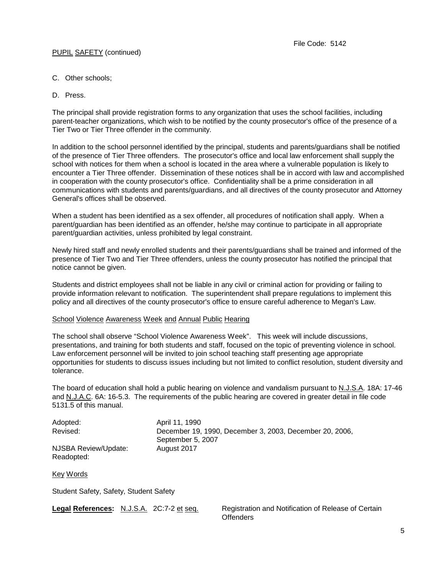- C. Other schools;
- D. Press.

The principal shall provide registration forms to any organization that uses the school facilities, including parent-teacher organizations, which wish to be notified by the county prosecutor's office of the presence of a Tier Two or Tier Three offender in the community.

In addition to the school personnel identified by the principal, students and parents/guardians shall be notified of the presence of Tier Three offenders. The prosecutor's office and local law enforcement shall supply the school with notices for them when a school is located in the area where a vulnerable population is likely to encounter a Tier Three offender. Dissemination of these notices shall be in accord with law and accomplished in cooperation with the county prosecutor's office. Confidentiality shall be a prime consideration in all communications with students and parents/guardians, and all directives of the county prosecutor and Attorney General's offices shall be observed.

When a student has been identified as a sex offender, all procedures of notification shall apply. When a parent/guardian has been identified as an offender, he/she may continue to participate in all appropriate parent/guardian activities, unless prohibited by legal constraint.

Newly hired staff and newly enrolled students and their parents/guardians shall be trained and informed of the presence of Tier Two and Tier Three offenders, unless the county prosecutor has notified the principal that notice cannot be given.

Students and district employees shall not be liable in any civil or criminal action for providing or failing to provide information relevant to notification. The superintendent shall prepare regulations to implement this policy and all directives of the county prosecutor's office to ensure careful adherence to Megan's Law.

#### School Violence Awareness Week and Annual Public Hearing

The school shall observe "School Violence Awareness Week". This week will include discussions, presentations, and training for both students and staff, focused on the topic of preventing violence in school. Law enforcement personnel will be invited to join school teaching staff presenting age appropriate opportunities for students to discuss issues including but not limited to conflict resolution, student diversity and tolerance.

The board of education shall hold a public hearing on violence and vandalism pursuant to N.J.S.A. 18A: 17-46 and N.J.A.C. 6A: 16-5.3. The requirements of the public hearing are covered in greater detail in file code 5131.5 of this manual.

| Adopted:             | April 11, 1990                                          |
|----------------------|---------------------------------------------------------|
| Revised:             | December 19, 1990, December 3, 2003, December 20, 2006, |
|                      | September 5, 2007                                       |
| NJSBA Review/Update: | August 2017                                             |
| Readopted:           |                                                         |

Key Words

Student Safety, Safety, Student Safety

**Legal References:** N.J.S.A. 2C:7-2 et seq. Registration and Notification of Release of Certain **Offenders**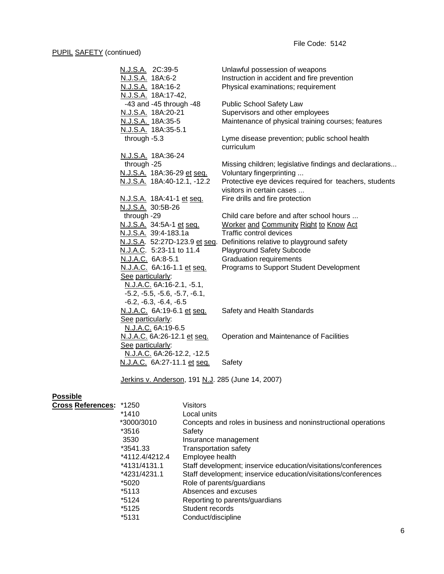| N.J.S.A. 2C:39-5                 | Unlawful possession of weapons                              |
|----------------------------------|-------------------------------------------------------------|
| N.J.S.A. 18A:6-2                 | Instruction in accident and fire prevention                 |
| N.J.S.A. 18A:16-2                | Physical examinations; requirement                          |
| N.J.S.A. 18A:17-42,              |                                                             |
| $-43$ and $-45$ through $-48$    | Public School Safety Law                                    |
| N.J.S.A. 18A:20-21               | Supervisors and other employees                             |
| N.J.S.A. 18A:35-5                | Maintenance of physical training courses; features          |
| N.J.S.A. 18A:35-5.1              |                                                             |
| through -5.3                     | Lyme disease prevention; public school health<br>curriculum |
| N.J.S.A. 18A:36-24               |                                                             |
| through -25                      | Missing children; legislative findings and declarations     |
| N.J.S.A. 18A:36-29 et seq.       | Voluntary fingerprinting                                    |
| N.J.S.A. 18A:40-12.1, -12.2      | Protective eye devices required for teachers, students      |
|                                  | visitors in certain cases                                   |
| N.J.S.A. 18A:41-1 et seq.        | Fire drills and fire protection                             |
| N.J.S.A. 30:5B-26                |                                                             |
| through -29                      | Child care before and after school hours                    |
| N.J.S.A. 34:5A-1 et seq.         | <b>Worker and Community Right to Know Act</b>               |
| N.J.S.A. 39:4-183.1a             | Traffic control devices                                     |
| N.J.S.A. 52:27D-123.9 et seq.    | Definitions relative to playground safety                   |
| <u>N.J.A.C</u> . 5:23-11 to 11.4 | Playground Safety Subcode                                   |
| N.J.A.C. 6A:8-5.1                | <b>Graduation requirements</b>                              |
| N.J.A.C. 6A:16-1.1 et seq.       | Programs to Support Student Development                     |
| See particularly:                |                                                             |
| N.J.A.C. 6A:16-2.1, -5.1,        |                                                             |
| $-5.2, -5.5, -5.6, -5.7, -6.1,$  |                                                             |
| $-6.2, -6.3, -6.4, -6.5$         |                                                             |
| N.J.A.C. 6A:19-6.1 et seq.       | Safety and Health Standards                                 |
| See particularly:                |                                                             |
| N.J.A.C. 6A:19-6.5               |                                                             |
| N.J.A.C. 6A:26-12.1 et seq.      | Operation and Maintenance of Facilities                     |
| See particularly:                |                                                             |
| N.J.A.C. 6A:26-12.2, -12.5       |                                                             |
| N.J.A.C. 6A:27-11.1 et seq.      | Safety                                                      |

Jerkins v. Anderson, 191 N.J. 285 (June 14, 2007)

# **Possible**

| <b>Cross References:</b> | *1250          | Visitors                                                       |
|--------------------------|----------------|----------------------------------------------------------------|
|                          | *1410          | Local units                                                    |
|                          | *3000/3010     | Concepts and roles in business and noninstructional operations |
|                          | *3516          | Safety                                                         |
|                          | 3530           | Insurance management                                           |
|                          | *3541.33       | <b>Transportation safety</b>                                   |
|                          | *4112.4/4212.4 | Employee health                                                |
|                          | *4131/4131.1   | Staff development; inservice education/visitations/conferences |
|                          | *4231/4231.1   | Staff development; inservice education/visitations/conferences |
|                          | *5020          | Role of parents/guardians                                      |
|                          | *5113          | Absences and excuses                                           |
|                          | *5124          | Reporting to parents/guardians                                 |
|                          | *5125          | Student records                                                |
|                          | *5131          | Conduct/discipline                                             |
|                          |                |                                                                |